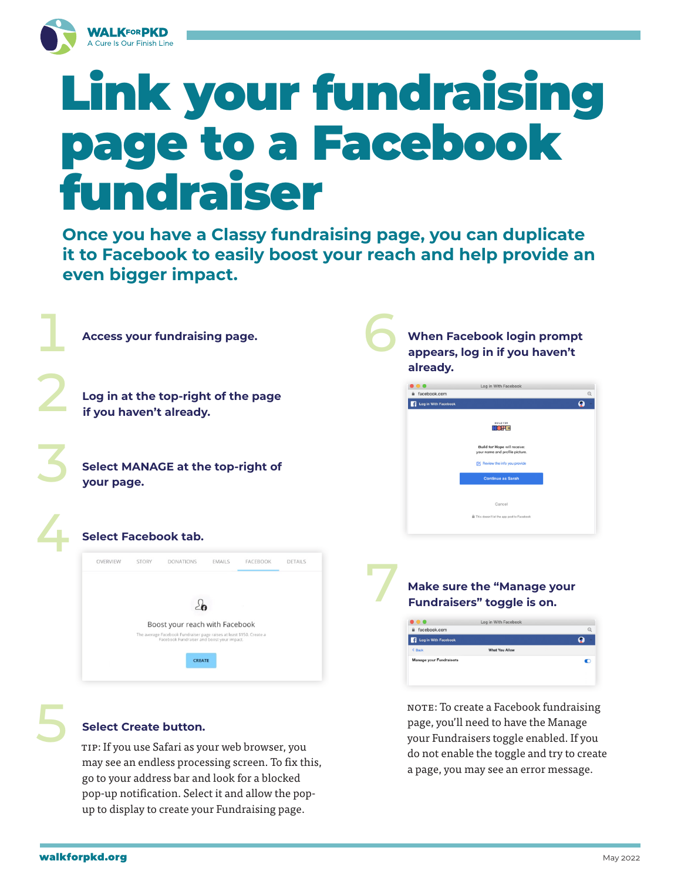

# Link your fundraising page to a Facebook fundraiser

**Once you have a Classy fundraising page, you can duplicate it to Facebook to easily boost your reach and help provide an even bigger impact.**

| <b>Access your fundraising page.</b>                                                                                                                                                                                                                                           | <b>When Facebook login prompt</b><br>appears, log in if you haven't<br>already.                                                                                                                                             |
|--------------------------------------------------------------------------------------------------------------------------------------------------------------------------------------------------------------------------------------------------------------------------------|-----------------------------------------------------------------------------------------------------------------------------------------------------------------------------------------------------------------------------|
| Log in at the top-right of the page<br>if you haven't already.                                                                                                                                                                                                                 | Log in With Facebook<br>facebook.com<br>$\Theta$<br>$\Omega$<br>Log in With Facebook<br><b>BUILD FOR</b><br><b>HOPE</b>                                                                                                     |
| <b>Select MANAGE at the top-right of</b><br>your page.                                                                                                                                                                                                                         | Build for Hope will receive:<br>your name and profile picture.<br>Review the info you provide<br><b>Continue as Sarah</b><br>Cancel                                                                                         |
| <b>Select Facebook tab.</b>                                                                                                                                                                                                                                                    | This doesn't let the app post to Facebook                                                                                                                                                                                   |
| <b>EMAILS</b><br>FACEBOOK<br><b>DETAILS</b><br>OVERVIEW<br><b>STORY</b><br><b>DONATIONS</b><br>$\geq$<br>Boost your reach with Facebook<br>The average Facebook Fundraiser page raises at least \$150. Create a<br>Facebook Fundraiser and boost your impact.<br><b>CREATE</b> | <b>Make sure the "Manage your</b><br>Fundraisers" toggle is on.<br>Log in With Facebook<br>Q<br>facebook.com<br>$\Omega$<br>Log in With Facebook<br><b>What You Allow</b><br>< Back<br>Manage your Fundraisers<br>$\bullet$ |

**Select Create button.**<br>
TIP: If you use Safari as your web browser, you may see an endless processing screen. To fix this, go to your address bar and look for a blocked pop-up notification. Select it and allow the popup to display to create your Fundraising page.

NOTE: To create a Facebook fundraising page, you'll need to have the Manage your Fundraisers toggle enabled. If you do not enable the toggle and try to create a page, you may see an error message.